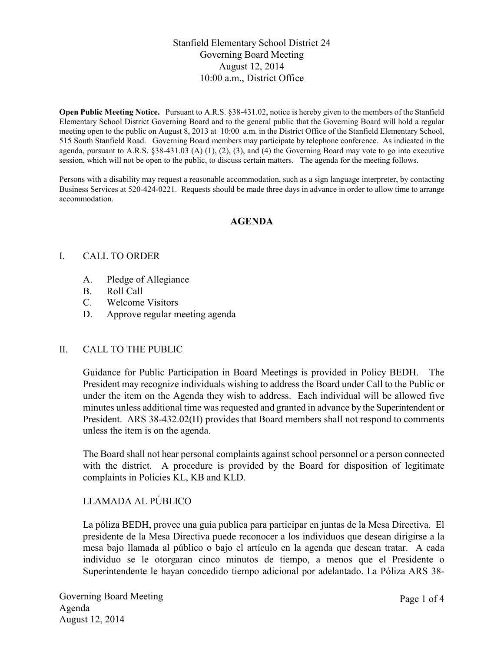# Stanfield Elementary School District 24 Governing Board Meeting August 12, 2014 10:00 a.m., District Office

**Open Public Meeting Notice.** Pursuant to A.R.S. §38-431.02, notice is hereby given to the members of the Stanfield Elementary School District Governing Board and to the general public that the Governing Board will hold a regular meeting open to the public on August 8, 2013 at 10:00 a.m. in the District Office of the Stanfield Elementary School, 515 South Stanfield Road. Governing Board members may participate by telephone conference. As indicated in the agenda, pursuant to A.R.S.  $\S 38-431.03$  (A) (1), (2), (3), and (4) the Governing Board may vote to go into executive session, which will not be open to the public, to discuss certain matters. The agenda for the meeting follows.

Persons with a disability may request a reasonable accommodation, such as a sign language interpreter, by contacting Business Services at 520-424-0221. Requests should be made three days in advance in order to allow time to arrange accommodation.

### **AGENDA**

### I. CALL TO ORDER

- A. Pledge of Allegiance
- B. Roll Call
- C. Welcome Visitors
- D. Approve regular meeting agenda

#### II. CALL TO THE PUBLIC

Guidance for Public Participation in Board Meetings is provided in Policy BEDH. The President may recognize individuals wishing to address the Board under Call to the Public or under the item on the Agenda they wish to address. Each individual will be allowed five minutes unless additional time was requested and granted in advance by the Superintendent or President. ARS 38-432.02(H) provides that Board members shall not respond to comments unless the item is on the agenda.

The Board shall not hear personal complaints against school personnel or a person connected with the district. A procedure is provided by the Board for disposition of legitimate complaints in Policies KL, KB and KLD.

## LLAMADA AL PÚBLICO

La póliza BEDH, provee una guía publica para participar en juntas de la Mesa Directiva. El presidente de la Mesa Directiva puede reconocer a los individuos que desean dirigirse a la mesa bajo llamada al público o bajo el artículo en la agenda que desean tratar. A cada individuo se le otorgaran cinco minutos de tiempo, a menos que el Presidente o Superintendente le hayan concedido tiempo adicional por adelantado. La Póliza ARS 38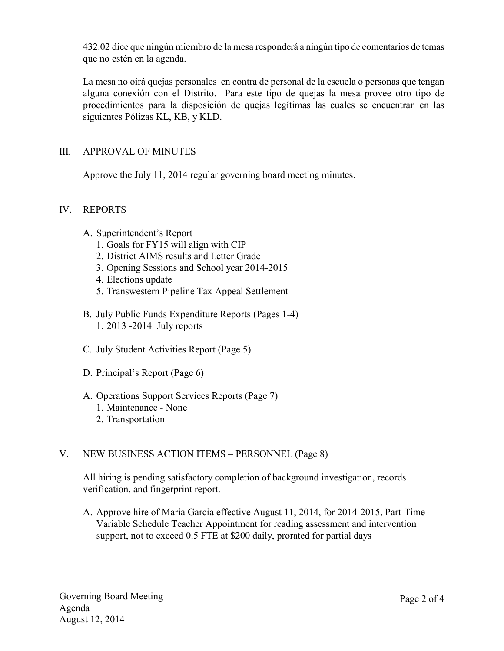432.02 dice que ningún miembro de la mesa responderá a ningún tipo de comentarios de temas que no estén en la agenda.

La mesa no oirá quejas personales en contra de personal de la escuela o personas que tengan alguna conexión con el Distrito. Para este tipo de quejas la mesa provee otro tipo de procedimientos para la disposición de quejas legítimas las cuales se encuentran en las siguientes Pólizas KL, KB, y KLD.

# III. APPROVAL OF MINUTES

Approve the July 11, 2014 regular governing board meeting minutes.

## IV. REPORTS

- A. Superintendent's Report
	- 1. Goals for FY15 will align with CIP
	- 2. District AIMS results and Letter Grade
	- 3. Opening Sessions and School year 2014-2015
	- 4. Elections update
	- 5. Transwestern Pipeline Tax Appeal Settlement
- B. July Public Funds Expenditure Reports (Pages 1-4) 1. 2013 -2014 July reports
- C. July Student Activities Report (Page 5)
- D. Principal's Report (Page 6)
- A. Operations Support Services Reports (Page 7)
	- 1. Maintenance None
	- 2. Transportation

## V. NEW BUSINESS ACTION ITEMS – PERSONNEL (Page 8)

All hiring is pending satisfactory completion of background investigation, records verification, and fingerprint report.

A. Approve hire of Maria Garcia effective August 11, 2014, for 2014-2015, Part-Time Variable Schedule Teacher Appointment for reading assessment and intervention support, not to exceed 0.5 FTE at \$200 daily, prorated for partial days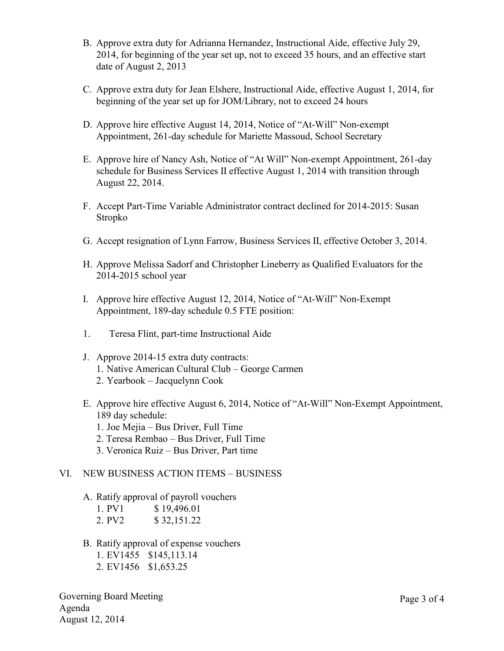- B. Approve extra duty for Adrianna Hernandez, Instructional Aide, effective July 29, 2014, for beginning of the year set up, not to exceed 35 hours, and an effective start date of August 2, 2013
- C. Approve extra duty for Jean Elshere, Instructional Aide, effective August 1, 2014, for beginning of the year set up for JOM/Library, not to exceed 24 hours
- D. Approve hire effective August 14, 2014, Notice of "At-Will" Non-exempt Appointment, 261-day schedule for Mariette Massoud, School Secretary
- E. Approve hire of Nancy Ash, Notice of "At Will" Non-exempt Appointment, 261-day schedule for Business Services II effective August 1, 2014 with transition through August 22, 2014.
- F. Accept Part-Time Variable Administrator contract declined for 2014-2015: Susan Stropko
- G. Accept resignation of Lynn Farrow, Business Services II, effective October 3, 2014.
- H. Approve Melissa Sadorf and Christopher Lineberry as Qualified Evaluators for the 2014-2015 school year
- I. Approve hire effective August 12, 2014, Notice of "At-Will" Non-Exempt Appointment, 189-day schedule 0.5 FTE position:
- 1. Teresa Flint, part-time Instructional Aide
- J. Approve 2014-15 extra duty contracts: 1. Native American Cultural Club – George Carmen 2. Yearbook – Jacquelynn Cook
- E. Approve hire effective August 6, 2014, Notice of "At-Will" Non-Exempt Appointment, 189 day schedule:
	- 1. Joe Mejia Bus Driver, Full Time
	- 2. Teresa Rembao Bus Driver, Full Time
	- 3. Veronica Ruiz Bus Driver, Part time

#### VI. NEW BUSINESS ACTION ITEMS – BUSINESS

A. Ratify approval of payroll vouchers

| 1. PV1 | \$19,496.01 |
|--------|-------------|
| 2. PV2 | \$32,151.22 |

- 
- B. Ratify approval of expense vouchers
	- 1. EV1455 \$145,113.14
	- 2. EV1456 \$1,653.25

Governing Board Meeting Agenda August 12, 2014